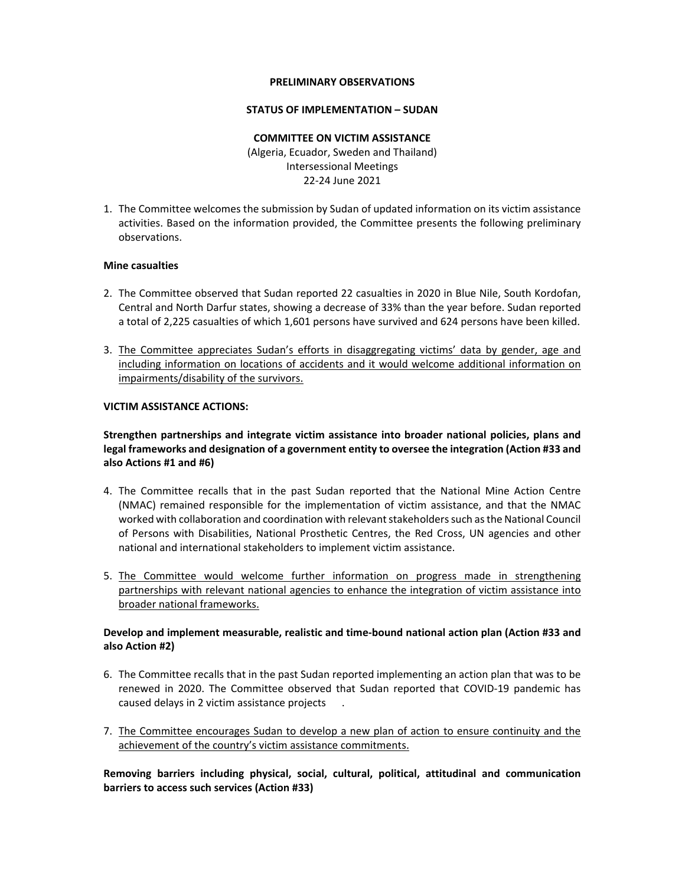#### **PRELIMINARY OBSERVATIONS**

#### **STATUS OF IMPLEMENTATION – SUDAN**

## **COMMITTEE ON VICTIM ASSISTANCE**  (Algeria, Ecuador, Sweden and Thailand) Intersessional Meetings 22‐24 June 2021

1. The Committee welcomes the submission by Sudan of updated information on its victim assistance activities. Based on the information provided, the Committee presents the following preliminary observations.

#### **Mine casualties**

- 2. The Committee observed that Sudan reported 22 casualties in 2020 in Blue Nile, South Kordofan, Central and North Darfur states, showing a decrease of 33% than the year before. Sudan reported a total of 2,225 casualties of which 1,601 persons have survived and 624 persons have been killed.
- 3. The Committee appreciates Sudan's efforts in disaggregating victims' data by gender, age and including information on locations of accidents and it would welcome additional information on impairments/disability of the survivors.

#### **VICTIM ASSISTANCE ACTIONS:**

# **Strengthen partnerships and integrate victim assistance into broader national policies, plans and legal frameworks and designation of a government entity to oversee the integration (Action #33 and also Actions #1 and #6)**

- 4. The Committee recalls that in the past Sudan reported that the National Mine Action Centre (NMAC) remained responsible for the implementation of victim assistance, and that the NMAC worked with collaboration and coordination with relevant stakeholders such as the National Council of Persons with Disabilities, National Prosthetic Centres, the Red Cross, UN agencies and other national and international stakeholders to implement victim assistance.
- 5. The Committee would welcome further information on progress made in strengthening partnerships with relevant national agencies to enhance the integration of victim assistance into broader national frameworks.

## **Develop and implement measurable, realistic and time‐bound national action plan (Action #33 and also Action #2)**

- 6. The Committee recalls that in the past Sudan reported implementing an action plan that was to be renewed in 2020. The Committee observed that Sudan reported that COVID-19 pandemic has caused delays in 2 victim assistance projects .
- 7. The Committee encourages Sudan to develop a new plan of action to ensure continuity and the achievement of the country's victim assistance commitments.

**Removing barriers including physical, social, cultural, political, attitudinal and communication barriers to access such services (Action #33)**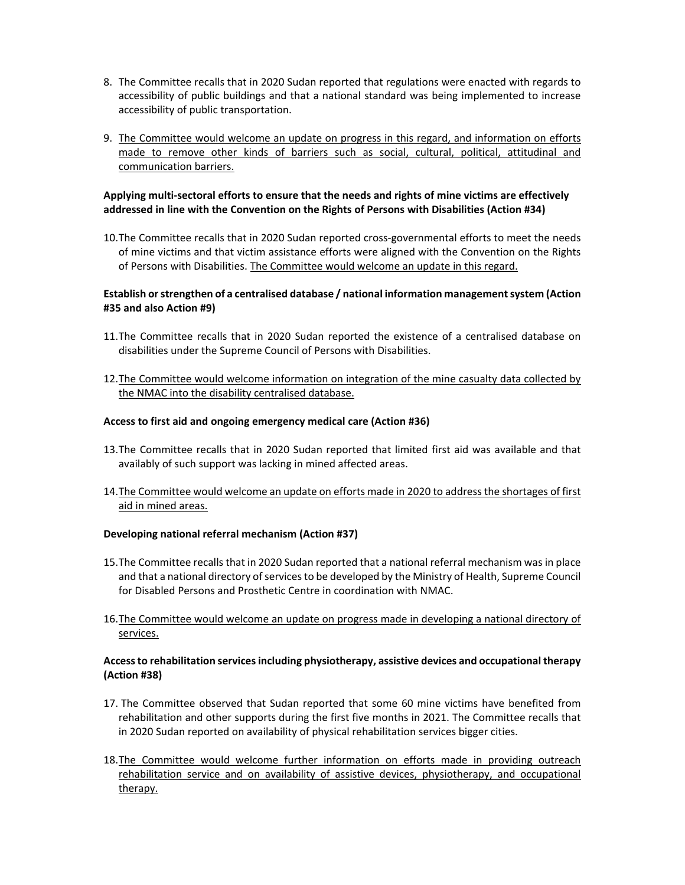- 8. The Committee recalls that in 2020 Sudan reported that regulations were enacted with regards to accessibility of public buildings and that a national standard was being implemented to increase accessibility of public transportation.
- 9. The Committee would welcome an update on progress in this regard, and information on efforts made to remove other kinds of barriers such as social, cultural, political, attitudinal and communication barriers.

# **Applying multi‐sectoral efforts to ensure that the needs and rights of mine victims are effectively addressed in line with the Convention on the Rights of Persons with Disabilities (Action #34)**

10.The Committee recalls that in 2020 Sudan reported cross‐governmental efforts to meet the needs of mine victims and that victim assistance efforts were aligned with the Convention on the Rights of Persons with Disabilities. The Committee would welcome an update in this regard.

# **Establish or strengthen of a centralised database / national information management system (Action #35 and also Action #9)**

- 11.The Committee recalls that in 2020 Sudan reported the existence of a centralised database on disabilities under the Supreme Council of Persons with Disabilities.
- 12.The Committee would welcome information on integration of the mine casualty data collected by the NMAC into the disability centralised database.

# **Access to first aid and ongoing emergency medical care (Action #36)**

- 13.The Committee recalls that in 2020 Sudan reported that limited first aid was available and that availably of such support was lacking in mined affected areas.
- 14.The Committee would welcome an update on efforts made in 2020 to address the shortages of first aid in mined areas.

## **Developing national referral mechanism (Action #37)**

- 15.The Committee recalls that in 2020 Sudan reported that a national referral mechanism was in place and that a national directory of services to be developed by the Ministry of Health, Supreme Council for Disabled Persons and Prosthetic Centre in coordination with NMAC.
- 16.The Committee would welcome an update on progress made in developing a national directory of services.

# **Access to rehabilitation services including physiotherapy, assistive devices and occupational therapy (Action #38)**

- 17. The Committee observed that Sudan reported that some 60 mine victims have benefited from rehabilitation and other supports during the first five months in 2021. The Committee recalls that in 2020 Sudan reported on availability of physical rehabilitation services bigger cities.
- 18.The Committee would welcome further information on efforts made in providing outreach rehabilitation service and on availability of assistive devices, physiotherapy, and occupational therapy.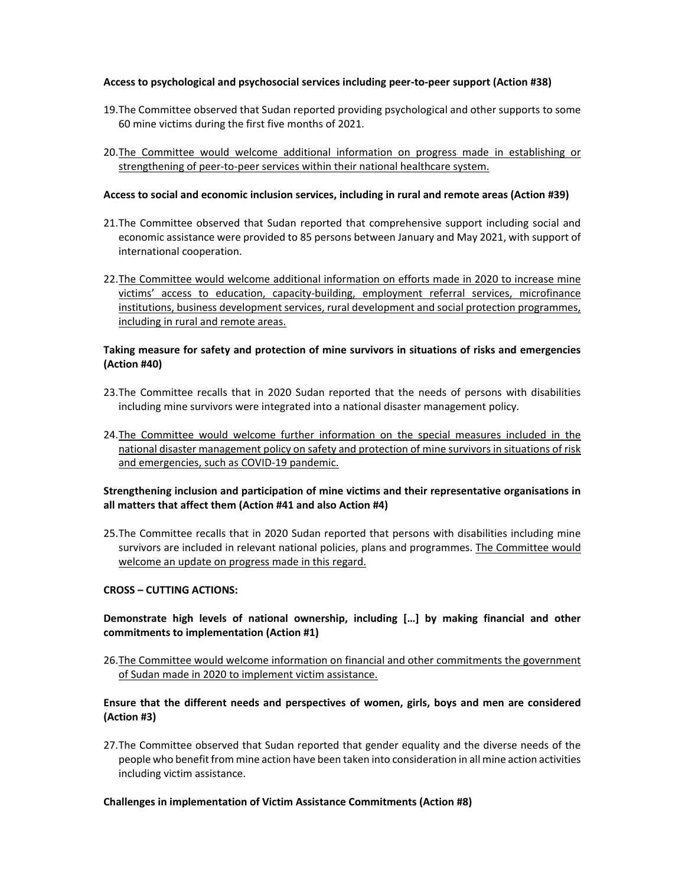#### **Access to psychological and psychosocial services including peer‐to‐peer support (Action #38)**

- 19.The Committee observed that Sudan reported providing psychological and other supports to some 60 mine victims during the first five months of 2021.
- 20.The Committee would welcome additional information on progress made in establishing or strengthening of peer-to-peer services within their national healthcare system.

#### **Access to social and economic inclusion services, including in rural and remote areas (Action #39)**

- 21. The Committee observed that Sudan reported that comprehensive support including social and economic assistance were provided to 85 persons between January and May 2021, with support of international cooperation.
- 22.The Committee would welcome additional information on efforts made in 2020 to increase mine victims' access to education, capacity‐building, employment referral services, microfinance institutions, business development services, rural development and social protection programmes, including in rural and remote areas.

## **Taking measure for safety and protection of mine survivors in situations of risks and emergencies (Action #40)**

- 23.The Committee recalls that in 2020 Sudan reported that the needs of persons with disabilities including mine survivors were integrated into a national disaster management policy.
- 24. The Committee would welcome further information on the special measures included in the national disaster management policy on safety and protection of mine survivors in situations of risk and emergencies, such as COVID‐19 pandemic.

## **Strengthening inclusion and participation of mine victims and their representative organisations in all matters that affect them (Action #41 and also Action #4)**

25.The Committee recalls that in 2020 Sudan reported that persons with disabilities including mine survivors are included in relevant national policies, plans and programmes. The Committee would welcome an update on progress made in this regard.

## **CROSS – CUTTING ACTIONS:**

# **Demonstrate high levels of national ownership, including […] by making financial and other commitments to implementation (Action #1)**

26.The Committee would welcome information on financial and other commitments the government of Sudan made in 2020 to implement victim assistance.

## **Ensure that the different needs and perspectives of women, girls, boys and men are considered (Action #3)**

27.The Committee observed that Sudan reported that gender equality and the diverse needs of the people who benefit from mine action have been taken into consideration in all mine action activities including victim assistance.

#### **Challenges in implementation of Victim Assistance Commitments (Action #8)**